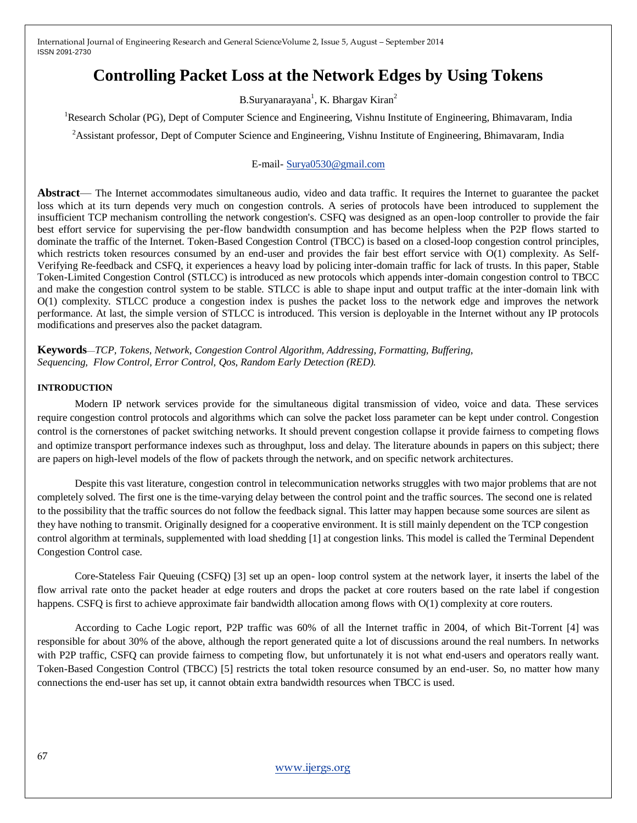# **Controlling Packet Loss at the Network Edges by Using Tokens**

B.Suryanarayana<sup>1</sup>, K. Bhargav Kiran<sup>2</sup>

<sup>1</sup>Research Scholar (PG), Dept of Computer Science and Engineering, Vishnu Institute of Engineering, Bhimavaram, India

<sup>2</sup>Assistant professor, Dept of Computer Science and Engineering, Vishnu Institute of Engineering, Bhimavaram, India

### E-mail- [Surya0530@gmail.com](mailto:Surya0530@gmail.com)

**Abstract**— The Internet accommodates simultaneous audio, video and data traffic. It requires the Internet to guarantee the packet loss which at its turn depends very much on congestion controls. A series of protocols have been introduced to supplement the insufficient TCP mechanism controlling the network congestion's. CSFQ was designed as an open-loop controller to provide the fair best effort service for supervising the per-flow bandwidth consumption and has become helpless when the P2P flows started to dominate the traffic of the Internet. Token-Based Congestion Control (TBCC) is based on a closed-loop congestion control principles, which restricts token resources consumed by an end-user and provides the fair best effort service with O(1) complexity. As Self-Verifying Re-feedback and CSFQ, it experiences a heavy load by policing inter-domain traffic for lack of trusts. In this paper, Stable Token-Limited Congestion Control (STLCC) is introduced as new protocols which appends inter-domain congestion control to TBCC and make the congestion control system to be stable. STLCC is able to shape input and output traffic at the inter-domain link with O(1) complexity. STLCC produce a congestion index is pushes the packet loss to the network edge and improves the network performance. At last, the simple version of STLCC is introduced. This version is deployable in the Internet without any IP protocols modifications and preserves also the packet datagram.

**Keywords**—*TCP, Tokens, Network, Congestion Control Algorithm, Addressing, Formatting, Buffering, Sequencing, Flow Control, Error Control, Qos, Random Early Detection (RED).*

#### **INTRODUCTION**

Modern IP network services provide for the simultaneous digital transmission of video, voice and data. These services require congestion control protocols and algorithms which can solve the packet loss parameter can be kept under control. Congestion control is the cornerstones of packet switching networks. It should prevent congestion collapse it provide fairness to competing flows and optimize transport performance indexes such as throughput, loss and delay. The literature abounds in papers on this subject; there are papers on high-level models of the flow of packets through the network, and on specific network architectures.

Despite this vast literature, congestion control in telecommunication networks struggles with two major problems that are not completely solved. The first one is the time-varying delay between the control point and the traffic sources. The second one is related to the possibility that the traffic sources do not follow the feedback signal. This latter may happen because some sources are silent as they have nothing to transmit. Originally designed for a cooperative environment. It is still mainly dependent on the TCP congestion control algorithm at terminals, supplemented with load shedding [1] at congestion links. This model is called the Terminal Dependent Congestion Control case.

Core-Stateless Fair Queuing (CSFQ) [3] set up an open- loop control system at the network layer, it inserts the label of the flow arrival rate onto the packet header at edge routers and drops the packet at core routers based on the rate label if congestion happens. CSFQ is first to achieve approximate fair bandwidth allocation among flows with  $O(1)$  complexity at core routers.

According to Cache Logic report, P2P traffic was 60% of all the Internet traffic in 2004, of which Bit-Torrent [4] was responsible for about 30% of the above, although the report generated quite a lot of discussions around the real numbers. In networks with P2P traffic, CSFO can provide fairness to competing flow, but unfortunately it is not what end-users and operators really want. Token-Based Congestion Control (TBCC) [5] restricts the total token resource consumed by an end-user. So, no matter how many connections the end-user has set up, it cannot obtain extra bandwidth resources when TBCC is used.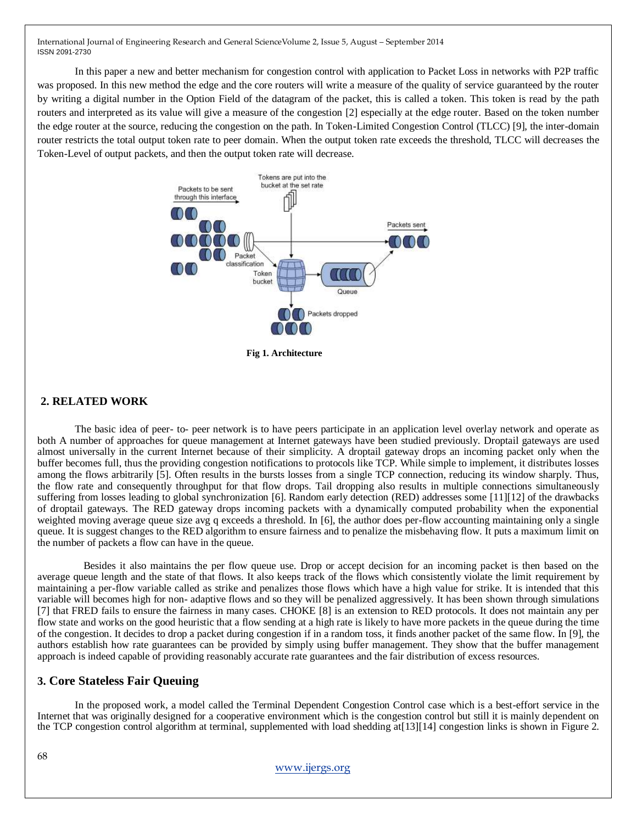In this paper a new and better mechanism for congestion control with application to Packet Loss in networks with P2P traffic was proposed. In this new method the edge and the core routers will write a measure of the quality of service guaranteed by the router by writing a digital number in the Option Field of the datagram of the packet, this is called a token. This token is read by the path routers and interpreted as its value will give a measure of the congestion [2] especially at the edge router. Based on the token number the edge router at the source, reducing the congestion on the path. In Token-Limited Congestion Control (TLCC) [9], the inter-domain router restricts the total output token rate to peer domain. When the output token rate exceeds the threshold, TLCC will decreases the Token-Level of output packets, and then the output token rate will decrease.



#### **2. RELATED WORK**

The basic idea of peer- to- peer network is to have peers participate in an application level overlay network and operate as both A number of approaches for queue management at Internet gateways have been studied previously. Droptail gateways are used almost universally in the current Internet because of their simplicity. A droptail gateway drops an incoming packet only when the buffer becomes full, thus the providing congestion notifications to protocols like TCP. While simple to implement, it distributes losses among the flows arbitrarily [5]. Often results in the bursts losses from a single TCP connection, reducing its window sharply. Thus, the flow rate and consequently throughput for that flow drops. Tail dropping also results in multiple connections simultaneously suffering from losses leading to global synchronization [6]. Random early detection (RED) addresses some [11][12] of the drawbacks of droptail gateways. The RED gateway drops incoming packets with a dynamically computed probability when the exponential weighted moving average queue size avg q exceeds a threshold. In [6], the author does per-flow accounting maintaining only a single queue. It is suggest changes to the RED algorithm to ensure fairness and to penalize the misbehaving flow. It puts a maximum limit on the number of packets a flow can have in the queue.

Besides it also maintains the per flow queue use. Drop or accept decision for an incoming packet is then based on the average queue length and the state of that flows. It also keeps track of the flows which consistently violate the limit requirement by maintaining a per-flow variable called as strike and penalizes those flows which have a high value for strike. It is intended that this variable will becomes high for non- adaptive flows and so they will be penalized aggressively. It has been shown through simulations [7] that FRED fails to ensure the fairness in many cases. CHOKE [8] is an extension to RED protocols. It does not maintain any per flow state and works on the good heuristic that a flow sending at a high rate is likely to have more packets in the queue during the time of the congestion. It decides to drop a packet during congestion if in a random toss, it finds another packet of the same flow. In [9], the authors establish how rate guarantees can be provided by simply using buffer management. They show that the buffer management approach is indeed capable of providing reasonably accurate rate guarantees and the fair distribution of excess resources.

### **3. Core Stateless Fair Queuing**

In the proposed work, a model called the Terminal Dependent Congestion Control case which is a best-effort service in the Internet that was originally designed for a cooperative environment which is the congestion control but still it is mainly dependent on the TCP congestion control algorithm at terminal, supplemented with load shedding at[13][14] congestion links is shown in Figure 2.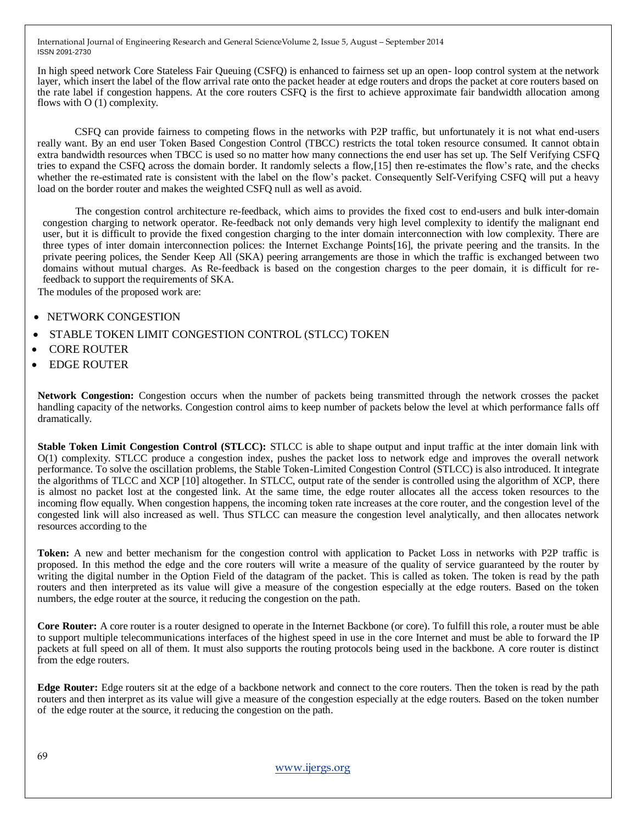In high speed network Core Stateless Fair Queuing (CSFQ) is enhanced to fairness set up an open- loop control system at the network layer, which insert the label of the flow arrival rate onto the packet header at edge routers and drops the packet at core routers based on the rate label if congestion happens. At the core routers CSFQ is the first to achieve approximate fair bandwidth allocation among flows with O (1) complexity.

CSFQ can provide fairness to competing flows in the networks with P2P traffic, but unfortunately it is not what end-users really want. By an end user Token Based Congestion Control (TBCC) restricts the total token resource consumed. It cannot obtain extra bandwidth resources when TBCC is used so no matter how many connections the end user has set up. The Self Verifying CSFQ tries to expand the CSFQ across the domain border. It randomly selects a flow,[15] then re-estimates the flow's rate, and the checks whether the re-estimated rate is consistent with the label on the flow's packet. Consequently Self-Verifying CSFQ will put a heavy load on the border router and makes the weighted CSFQ null as well as avoid.

The congestion control architecture re-feedback, which aims to provides the fixed cost to end-users and bulk inter-domain congestion charging to network operator. Re-feedback not only demands very high level complexity to identify the malignant end user, but it is difficult to provide the fixed congestion charging to the inter domain interconnection with low complexity. There are three types of inter domain interconnection polices: the Internet Exchange Points[16], the private peering and the transits. In the private peering polices, the Sender Keep All (SKA) peering arrangements are those in which the traffic is exchanged between two domains without mutual charges. As Re-feedback is based on the congestion charges to the peer domain, it is difficult for refeedback to support the requirements of SKA.

The modules of the proposed work are:

- NETWORK CONGESTION
- STABLE TOKEN LIMIT CONGESTION CONTROL (STLCC) TOKEN
- CORE ROUTER
- EDGE ROUTER

**Network Congestion:** Congestion occurs when the number of packets being transmitted through the network crosses the packet handling capacity of the networks. Congestion control aims to keep number of packets below the level at which performance falls off dramatically.

**Stable Token Limit Congestion Control (STLCC):** STLCC is able to shape output and input traffic at the inter domain link with O(1) complexity. STLCC produce a congestion index, pushes the packet loss to network edge and improves the overall network performance. To solve the oscillation problems, the Stable Token-Limited Congestion Control (STLCC) is also introduced. It integrate the algorithms of TLCC and XCP [10] altogether. In STLCC, output rate of the sender is controlled using the algorithm of XCP, there is almost no packet lost at the congested link. At the same time, the edge router allocates all the access token resources to the incoming flow equally. When congestion happens, the incoming token rate increases at the core router, and the congestion level of the congested link will also increased as well. Thus STLCC can measure the congestion level analytically, and then allocates network resources according to the

**Token:** A new and better mechanism for the congestion control with application to Packet Loss in networks with P2P traffic is proposed. In this method the edge and the core routers will write a measure of the quality of service guaranteed by the router by writing the digital number in the Option Field of the datagram of the packet. This is called as token. The token is read by the path routers and then interpreted as its value will give a measure of the congestion especially at the edge routers. Based on the token numbers, the edge router at the source, it reducing the congestion on the path.

**Core Router:** A core router is a router designed to operate in the Internet Backbone (or core). To fulfill this role, a router must be able to support multiple telecommunications interfaces of the highest speed in use in the core Internet and must be able to forward the IP packets at full speed on all of them. It must also supports the routing protocols being used in the backbone. A core router is distinct from the edge routers.

**Edge Router:** Edge routers sit at the edge of a backbone network and connect to the core routers. Then the token is read by the path routers and then interpret as its value will give a measure of the congestion especially at the edge routers. Based on the token number of the edge router at the source, it reducing the congestion on the path.

[www.ijergs.org](http://www.ijergs.org/)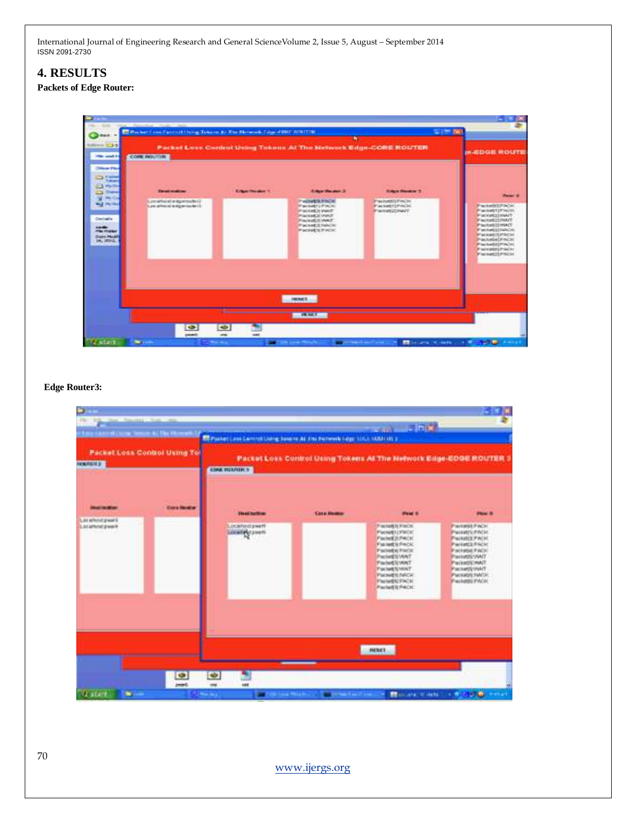# **4. RESULTS**

# **Packets of Edge Router:**

| ters: 4<br>direct <b>C3-5</b><br><b>Mariamed Pr</b><br><b>Disco Floor</b>                                                                                                             | Packet Loss Centrol Using Tokens At The Network Edge-CORE ROUTER<br><b>COME HOLTTER</b> |                          |                                                                                                                                                          |                                                                                 |                                                                                                                                                                                                                    |  |
|---------------------------------------------------------------------------------------------------------------------------------------------------------------------------------------|-----------------------------------------------------------------------------------------|--------------------------|----------------------------------------------------------------------------------------------------------------------------------------------------------|---------------------------------------------------------------------------------|--------------------------------------------------------------------------------------------------------------------------------------------------------------------------------------------------------------------|--|
| <b>Call Product</b><br>Tokomo<br><b>Physical</b><br><b>Share</b><br><b>My Co</b><br><b>But He Had</b><br>Detroits<br><b>COMPA</b><br><b>PRI FEEDS</b><br><b>Disks Madd</b><br>16.000L | <b>The of chatters</b><br>Locatio di edgemated:<br>21 and well for the form that and 2  | <b>Kalkan Headler 11</b> | <b>Edge House 2</b><br><b>PAINTS FACE</b><br>Packett (Pack)<br>PACKARDI VANT<br><b>Packet 3 Year</b><br>Packet & WAT<br>Packet 3 NMOK<br>PACKATIC FINDS: | <b>Edge Banker 3</b><br><b>Packattle PACH</b><br>Packaterpractic<br>Parketinant | Palmy 1<br>PactatorchACH.<br><b>Packwell</b> PACK<br>Packatcrisht<br>Faciat21PMT<br>PacketEIIWAT<br>Pachetta NACK<br><b>P'ackgrott PACH</b><br>Packeti (FACH)<br>Packet025PACH<br>Painetterproduct<br>Palage21Pack |  |
|                                                                                                                                                                                       | ¢<br>page                                                                               | <b>Signal</b><br>and .   | <b>FRENCH</b><br><b>FRANCIS</b>                                                                                                                          |                                                                                 |                                                                                                                                                                                                                    |  |

## **Edge Router3:**

| ь<br>that "Recorded Chiefs" was<br>161<br><b>TS</b><br><b>Ford Californian Service S. The Honora</b><br><b>MOUNTED ST</b> | <b>Packet Loss Control Using Tol</b> | <b>CONTROLLER</b><br>Ed Passaccions Controllineira dans to all arts discovers signs struct state of a<br>Packet Loss Control Using Tokens At The Network Edge-EDGE ROUTER 3<br><b>EDGE BELIVER 3</b> |                                  |                                                                                                                                                                                                                                                        |                                                                                                                                                                                                                |  |
|---------------------------------------------------------------------------------------------------------------------------|--------------------------------------|------------------------------------------------------------------------------------------------------------------------------------------------------------------------------------------------------|----------------------------------|--------------------------------------------------------------------------------------------------------------------------------------------------------------------------------------------------------------------------------------------------------|----------------------------------------------------------------------------------------------------------------------------------------------------------------------------------------------------------------|--|
| <b>STATE OF OUR</b><br>List at held poor's<br>Lacathrid peorl                                                             | <b>Sana Bandor</b>                   | <b>The Ad That Them</b><br><b>LDCANNIZINAN</b><br>LOCATION ( JOHNS)                                                                                                                                  | <b><i><u>Eate Rootes</u></i></b> | <b>Shared In</b><br><b>FRMERFICK</b><br>Parketti (VACK)<br>Packet2LPHOK<br><b>Farmet's Feck</b><br>Packet is PACK<br><b>Packetti WAT</b><br><b>ParketSVWT</b><br>Facture School<br><b>PacketSLNACH</b><br><b>Paristic FACK</b><br><b>Parketis PACK</b> | <b>PRINT IS</b><br>Panteriil PACH<br>Packetts FACH.<br>Packetck PACH<br>PAINTS FICK<br><b>Packated FACK</b><br><b>Packetts VALT</b><br>Packettic WAT<br>Packetts VANY<br>Package HACK<br><b>Packatts: PAOL</b> |  |
| <b>CLASSIC</b><br>٠.<br>ш                                                                                                 | Φ<br>pented)                         | <b>HEALT</b><br>C.<br>m<br>mark<br>(Relay) - Andreas Martin Company (Martin Company of Martin Company of Martin Company of Martin Company of Martin                                                  |                                  |                                                                                                                                                                                                                                                        |                                                                                                                                                                                                                |  |

[www.ijergs.org](http://www.ijergs.org/)